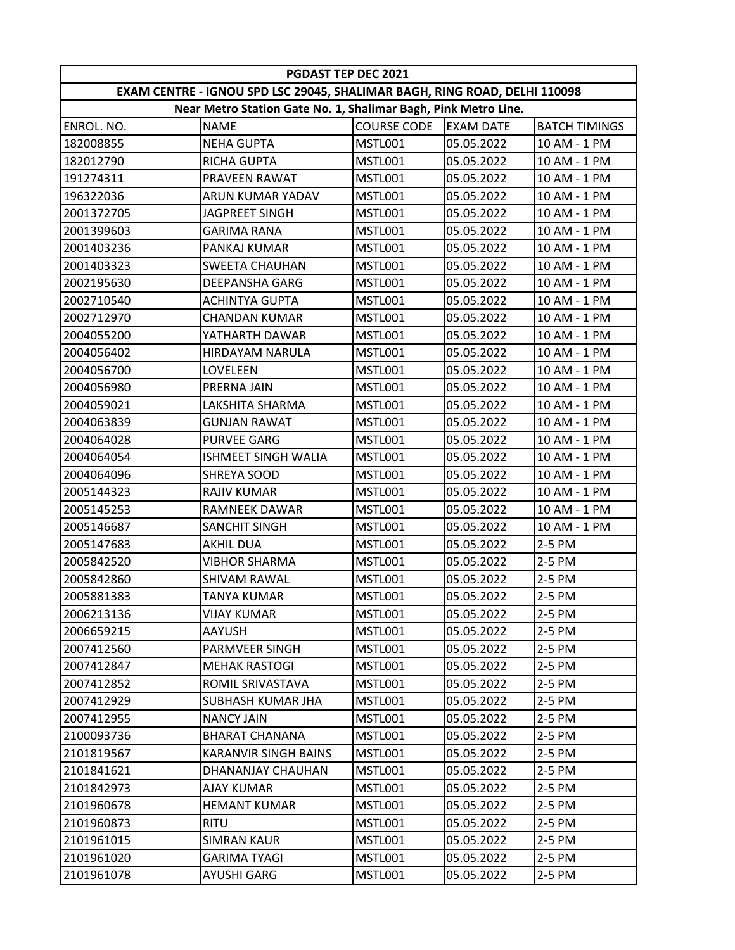| <b>PGDAST TEP DEC 2021</b>                                                |                             |                    |                  |                      |  |  |  |  |
|---------------------------------------------------------------------------|-----------------------------|--------------------|------------------|----------------------|--|--|--|--|
| EXAM CENTRE - IGNOU SPD LSC 29045, SHALIMAR BAGH, RING ROAD, DELHI 110098 |                             |                    |                  |                      |  |  |  |  |
| Near Metro Station Gate No. 1, Shalimar Bagh, Pink Metro Line.            |                             |                    |                  |                      |  |  |  |  |
| ENROL. NO.                                                                | <b>NAME</b>                 | <b>COURSE CODE</b> | <b>EXAM DATE</b> | <b>BATCH TIMINGS</b> |  |  |  |  |
| 182008855                                                                 | <b>NEHA GUPTA</b>           | MSTL001            | 05.05.2022       | 10 AM - 1 PM         |  |  |  |  |
| 182012790                                                                 | <b>RICHA GUPTA</b>          | MSTL001            | 05.05.2022       | 10 AM - 1 PM         |  |  |  |  |
| 191274311                                                                 | <b>PRAVEEN RAWAT</b>        | MSTL001            | 05.05.2022       | 10 AM - 1 PM         |  |  |  |  |
| 196322036                                                                 | ARUN KUMAR YADAV            | MSTL001            | 05.05.2022       | 10 AM - 1 PM         |  |  |  |  |
| 2001372705                                                                | JAGPREET SINGH              | MSTL001            | 05.05.2022       | 10 AM - 1 PM         |  |  |  |  |
| 2001399603                                                                | <b>GARIMA RANA</b>          | MSTL001            | 05.05.2022       | 10 AM - 1 PM         |  |  |  |  |
| 2001403236                                                                | <b>PANKAJ KUMAR</b>         | MSTL001            | 05.05.2022       | 10 AM - 1 PM         |  |  |  |  |
| 2001403323                                                                | <b>SWEETA CHAUHAN</b>       | MSTL001            | 05.05.2022       | 10 AM - 1 PM         |  |  |  |  |
| 2002195630                                                                | DEEPANSHA GARG              | <b>MSTL001</b>     | 05.05.2022       | 10 AM - 1 PM         |  |  |  |  |
| 2002710540                                                                | <b>ACHINTYA GUPTA</b>       | MSTL001            | 05.05.2022       | 10 AM - 1 PM         |  |  |  |  |
| 2002712970                                                                | <b>CHANDAN KUMAR</b>        | MSTL001            | 05.05.2022       | 10 AM - 1 PM         |  |  |  |  |
| 2004055200                                                                | YATHARTH DAWAR              | MSTL001            | 05.05.2022       | 10 AM - 1 PM         |  |  |  |  |
| 2004056402                                                                | HIRDAYAM NARULA             | MSTL001            | 05.05.2022       | 10 AM - 1 PM         |  |  |  |  |
| 2004056700                                                                | LOVELEEN                    | MSTL001            | 05.05.2022       | 10 AM - 1 PM         |  |  |  |  |
| 2004056980                                                                | PRERNA JAIN                 | MSTL001            | 05.05.2022       | 10 AM - 1 PM         |  |  |  |  |
| 2004059021                                                                | LAKSHITA SHARMA             | MSTL001            | 05.05.2022       | 10 AM - 1 PM         |  |  |  |  |
| 2004063839                                                                | <b>GUNJAN RAWAT</b>         | MSTL001            | 05.05.2022       | 10 AM - 1 PM         |  |  |  |  |
| 2004064028                                                                | <b>PURVEE GARG</b>          | MSTL001            | 05.05.2022       | 10 AM - 1 PM         |  |  |  |  |
| 2004064054                                                                | <b>ISHMEET SINGH WALIA</b>  | MSTL001            | 05.05.2022       | 10 AM - 1 PM         |  |  |  |  |
| 2004064096                                                                | <b>SHREYA SOOD</b>          | <b>MSTL001</b>     | 05.05.2022       | 10 AM - 1 PM         |  |  |  |  |
| 2005144323                                                                | <b>RAJIV KUMAR</b>          | MSTL001            | 05.05.2022       | 10 AM - 1 PM         |  |  |  |  |
| 2005145253                                                                | <b>RAMNEEK DAWAR</b>        | MSTL001            | 05.05.2022       | 10 AM - 1 PM         |  |  |  |  |
| 2005146687                                                                | <b>SANCHIT SINGH</b>        | MSTL001            | 05.05.2022       | 10 AM - 1 PM         |  |  |  |  |
| 2005147683                                                                | <b>AKHIL DUA</b>            | MSTL001            | 05.05.2022       | 2-5 PM               |  |  |  |  |
| 2005842520                                                                | <b>VIBHOR SHARMA</b>        | MSTL001            | 05.05.2022       | 2-5 PM               |  |  |  |  |
| 2005842860                                                                | <b>SHIVAM RAWAL</b>         | MSTL001            | 05.05.2022       | 2-5 PM               |  |  |  |  |
| 2005881383                                                                | <b>TANYA KUMAR</b>          | MSTL001            | 05.05.2022       | 2-5 PM               |  |  |  |  |
| 2006213136                                                                | VIJAY KUMAR                 | MSTL001            | 05.05.2022       | 2-5 PM               |  |  |  |  |
| 2006659215                                                                | <b>AAYUSH</b>               | MSTL001            | 05.05.2022       | 2-5 PM               |  |  |  |  |
| 2007412560                                                                | PARMVEER SINGH              | MSTL001            | 05.05.2022       | 2-5 PM               |  |  |  |  |
| 2007412847                                                                | <b>MEHAK RASTOGI</b>        | MSTL001            | 05.05.2022       | 2-5 PM               |  |  |  |  |
| 2007412852                                                                | <b>ROMIL SRIVASTAVA</b>     | MSTL001            | 05.05.2022       | 2-5 PM               |  |  |  |  |
| 2007412929                                                                | <b>SUBHASH KUMAR JHA</b>    | MSTL001            | 05.05.2022       | 2-5 PM               |  |  |  |  |
| 2007412955                                                                | <b>NANCY JAIN</b>           | MSTL001            | 05.05.2022       | 2-5 PM               |  |  |  |  |
| 2100093736                                                                | <b>BHARAT CHANANA</b>       | MSTL001            | 05.05.2022       | 2-5 PM               |  |  |  |  |
| 2101819567                                                                | <b>KARANVIR SINGH BAINS</b> | MSTL001            | 05.05.2022       | 2-5 PM               |  |  |  |  |
| 2101841621                                                                | DHANANJAY CHAUHAN           | MSTL001            | 05.05.2022       | 2-5 PM               |  |  |  |  |
| 2101842973                                                                | <b>AJAY KUMAR</b>           | MSTL001            | 05.05.2022       | 2-5 PM               |  |  |  |  |
| 2101960678                                                                | <b>HEMANT KUMAR</b>         | MSTL001            | 05.05.2022       | 2-5 PM               |  |  |  |  |
| 2101960873                                                                | <b>RITU</b>                 | MSTL001            | 05.05.2022       | 2-5 PM               |  |  |  |  |
| 2101961015                                                                | <b>SIMRAN KAUR</b>          | MSTL001            | 05.05.2022       | 2-5 PM               |  |  |  |  |
| 2101961020                                                                | GARIMA TYAGI                | MSTL001            | 05.05.2022       | 2-5 PM               |  |  |  |  |
| 2101961078                                                                | <b>AYUSHI GARG</b>          | MSTL001            | 05.05.2022       | 2-5 PM               |  |  |  |  |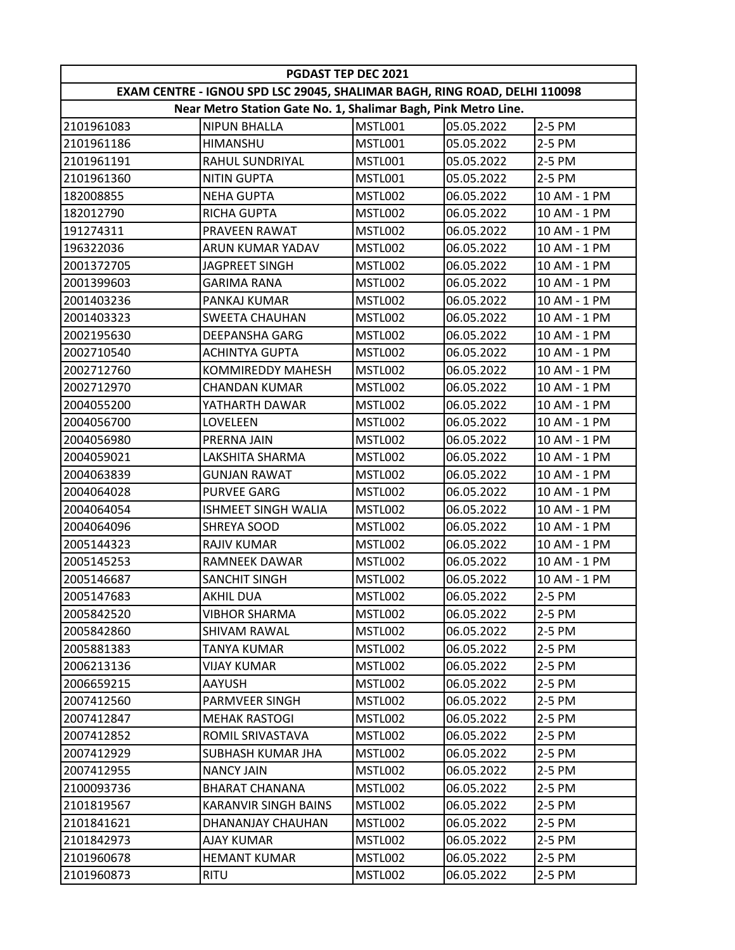| <b>PGDAST TEP DEC 2021</b>                                                |                             |                |            |              |  |  |  |  |
|---------------------------------------------------------------------------|-----------------------------|----------------|------------|--------------|--|--|--|--|
| EXAM CENTRE - IGNOU SPD LSC 29045, SHALIMAR BAGH, RING ROAD, DELHI 110098 |                             |                |            |              |  |  |  |  |
| Near Metro Station Gate No. 1, Shalimar Bagh, Pink Metro Line.            |                             |                |            |              |  |  |  |  |
| 2101961083                                                                | <b>NIPUN BHALLA</b>         | <b>MSTL001</b> | 05.05.2022 | 2-5 PM       |  |  |  |  |
| 2101961186                                                                | <b>HIMANSHU</b>             | MSTL001        | 05.05.2022 | 2-5 PM       |  |  |  |  |
| 2101961191                                                                | RAHUL SUNDRIYAL             | MSTL001        | 05.05.2022 | 2-5 PM       |  |  |  |  |
| 2101961360                                                                | <b>NITIN GUPTA</b>          | <b>MSTL001</b> | 05.05.2022 | 2-5 PM       |  |  |  |  |
| 182008855                                                                 | <b>NEHA GUPTA</b>           | MSTL002        | 06.05.2022 | 10 AM - 1 PM |  |  |  |  |
| 182012790                                                                 | <b>RICHA GUPTA</b>          | MSTL002        | 06.05.2022 | 10 AM - 1 PM |  |  |  |  |
| 191274311                                                                 | <b>PRAVEEN RAWAT</b>        | MSTL002        | 06.05.2022 | 10 AM - 1 PM |  |  |  |  |
| 196322036                                                                 | ARUN KUMAR YADAV            | MSTL002        | 06.05.2022 | 10 AM - 1 PM |  |  |  |  |
| 2001372705                                                                | <b>JAGPREET SINGH</b>       | MSTL002        | 06.05.2022 | 10 AM - 1 PM |  |  |  |  |
| 2001399603                                                                | GARIMA RANA                 | MSTL002        | 06.05.2022 | 10 AM - 1 PM |  |  |  |  |
| 2001403236                                                                | PANKAJ KUMAR                | MSTL002        | 06.05.2022 | 10 AM - 1 PM |  |  |  |  |
| 2001403323                                                                | <b>SWEETA CHAUHAN</b>       | MSTL002        | 06.05.2022 | 10 AM - 1 PM |  |  |  |  |
| 2002195630                                                                | DEEPANSHA GARG              | MSTL002        | 06.05.2022 | 10 AM - 1 PM |  |  |  |  |
| 2002710540                                                                | <b>ACHINTYA GUPTA</b>       | MSTL002        | 06.05.2022 | 10 AM - 1 PM |  |  |  |  |
| 2002712760                                                                | <b>KOMMIREDDY MAHESH</b>    | MSTL002        | 06.05.2022 | 10 AM - 1 PM |  |  |  |  |
| 2002712970                                                                | <b>CHANDAN KUMAR</b>        | MSTL002        | 06.05.2022 | 10 AM - 1 PM |  |  |  |  |
| 2004055200                                                                | YATHARTH DAWAR              | MSTL002        | 06.05.2022 | 10 AM - 1 PM |  |  |  |  |
| 2004056700                                                                | LOVELEEN                    | MSTL002        | 06.05.2022 | 10 AM - 1 PM |  |  |  |  |
| 2004056980                                                                | <b>PRERNA JAIN</b>          | MSTL002        | 06.05.2022 | 10 AM - 1 PM |  |  |  |  |
| 2004059021                                                                | LAKSHITA SHARMA             | MSTL002        | 06.05.2022 | 10 AM - 1 PM |  |  |  |  |
| 2004063839                                                                | <b>GUNJAN RAWAT</b>         | MSTL002        | 06.05.2022 | 10 AM - 1 PM |  |  |  |  |
| 2004064028                                                                | <b>PURVEE GARG</b>          | MSTL002        | 06.05.2022 | 10 AM - 1 PM |  |  |  |  |
| 2004064054                                                                | <b>ISHMEET SINGH WALIA</b>  | MSTL002        | 06.05.2022 | 10 AM - 1 PM |  |  |  |  |
| 2004064096                                                                | SHREYA SOOD                 | MSTL002        | 06.05.2022 | 10 AM - 1 PM |  |  |  |  |
| 2005144323                                                                | <b>RAJIV KUMAR</b>          | MSTL002        | 06.05.2022 | 10 AM - 1 PM |  |  |  |  |
| 2005145253                                                                | <b>RAMNEEK DAWAR</b>        | MSTL002        | 06.05.2022 | 10 AM - 1 PM |  |  |  |  |
| 2005146687                                                                | <b>SANCHIT SINGH</b>        | MSTL002        | 06.05.2022 | 10 AM - 1 PM |  |  |  |  |
| 2005147683                                                                | <b>AKHIL DUA</b>            | MSTL002        | 06.05.2022 | 2-5 PM       |  |  |  |  |
| 2005842520                                                                | <b>VIBHOR SHARMA</b>        | MSTL002        | 06.05.2022 | 2-5 PM       |  |  |  |  |
| 2005842860                                                                | <b>SHIVAM RAWAL</b>         | MSTL002        | 06.05.2022 | 2-5 PM       |  |  |  |  |
| 2005881383                                                                | TANYA KUMAR                 | MSTL002        | 06.05.2022 | 2-5 PM       |  |  |  |  |
| 2006213136                                                                | VIJAY KUMAR                 | MSTL002        | 06.05.2022 | 2-5 PM       |  |  |  |  |
| 2006659215                                                                | AAYUSH                      | MSTL002        | 06.05.2022 | 2-5 PM       |  |  |  |  |
| 2007412560                                                                | <b>PARMVEER SINGH</b>       | MSTL002        | 06.05.2022 | 2-5 PM       |  |  |  |  |
| 2007412847                                                                | <b>MEHAK RASTOGI</b>        | MSTL002        | 06.05.2022 | 2-5 PM       |  |  |  |  |
| 2007412852                                                                | ROMIL SRIVASTAVA            | MSTL002        | 06.05.2022 | 2-5 PM       |  |  |  |  |
| 2007412929                                                                | <b>SUBHASH KUMAR JHA</b>    | MSTL002        | 06.05.2022 | 2-5 PM       |  |  |  |  |
| 2007412955                                                                | <b>NANCY JAIN</b>           | MSTL002        | 06.05.2022 | 2-5 PM       |  |  |  |  |
| 2100093736                                                                | <b>BHARAT CHANANA</b>       | MSTL002        | 06.05.2022 | 2-5 PM       |  |  |  |  |
| 2101819567                                                                | <b>KARANVIR SINGH BAINS</b> | MSTL002        | 06.05.2022 | 2-5 PM       |  |  |  |  |
| 2101841621                                                                | DHANANJAY CHAUHAN           | MSTL002        | 06.05.2022 | 2-5 PM       |  |  |  |  |
| 2101842973                                                                | <b>AJAY KUMAR</b>           | MSTL002        | 06.05.2022 | 2-5 PM       |  |  |  |  |
| 2101960678                                                                | <b>HEMANT KUMAR</b>         | MSTL002        | 06.05.2022 | 2-5 PM       |  |  |  |  |
| 2101960873                                                                | <b>RITU</b>                 | MSTL002        | 06.05.2022 | 2-5 PM       |  |  |  |  |